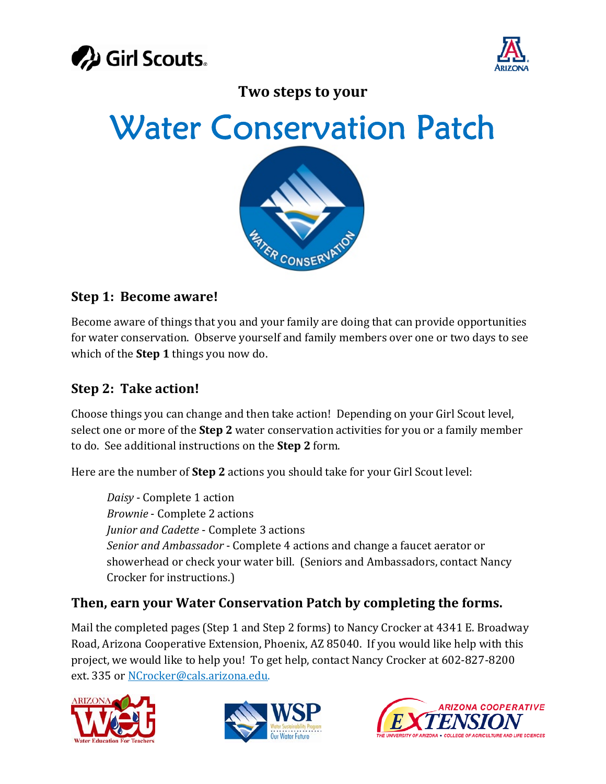



**Two steps to your**

Water Conservation Patch



### **Step 1: Become aware!**

Become aware of things that you and your family are doing that can provide opportunities for water conservation. Observe yourself and family members over one or two days to see which of the **Step 1** things you now do.

### **Step 2: Take action!**

Choose things you can change and then take action! Depending on your Girl Scout level, select one or more of the **Step 2** water conservation activities for you or a family member to do. See additional instructions on the **Step 2** form.

Here are the number of **Step 2** actions you should take for your Girl Scout level:

*Daisy* ‐ Complete 1 action *Brownie* ‐ Complete 2 actions *Junior and Cadette* ‐ Complete 3 actions *Senior and Ambassador* ‐ Complete 4 actions and change a faucet aerator or showerhead or check your water bill. (Seniors and Ambassadors, contact Nancy Crocker for instructions.)

### **Then, earn your Water Conservation Patch by completing the forms.**

Mail the completed pages (Step 1 and Step 2 forms) to Nancy Crocker at 4341 E. Broadway Road, Arizona Cooperative Extension, Phoenix, AZ 85040. If you would like help with this project, we would like to help you! To get help, contact Nancy Crocker at 602‐827‐8200 ext. 335 or NCrocker@cals.arizona.edu.





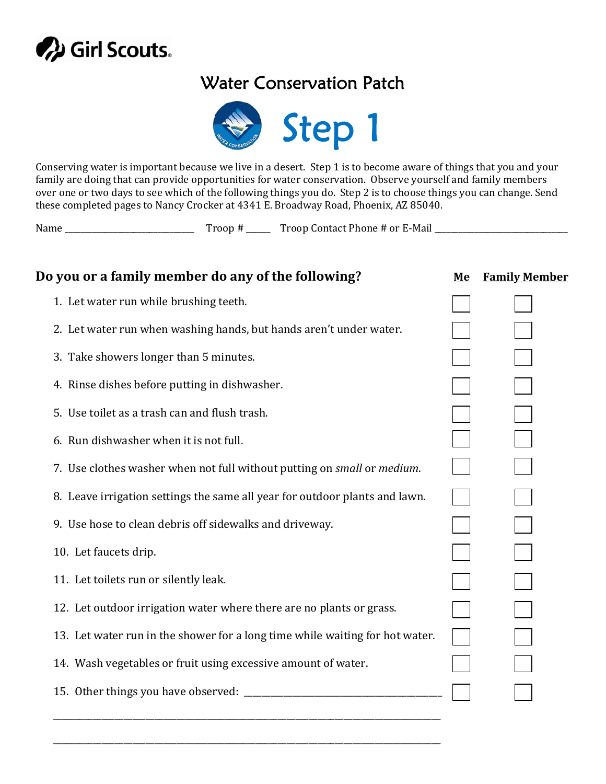

# Water Conservation Patch



Conserving water is important because we live in a desert. Step 1 is to become aware of things that you and your family are doing that can provide opportunities for water conservation. Observe yourself and family members over one or two days to see which of the following things you do. Step 2 is to choose things you can change. Send these completed pages to Nancy Crocker at 4341 E. Broadway Road, Phoenix, AZ 85040.

| Name | $\text{r}$ non $\text{H}$ | Troop Contact Phone # or E-Mail |  |
|------|---------------------------|---------------------------------|--|
|------|---------------------------|---------------------------------|--|

| Do you or a family member do any of the following?                           | Me | <b>Family Member</b> |  |
|------------------------------------------------------------------------------|----|----------------------|--|
| 1. Let water run while brushing teeth.                                       |    |                      |  |
| 2. Let water run when washing hands, but hands aren't under water.           |    |                      |  |
| 3. Take showers longer than 5 minutes.                                       |    |                      |  |
| 4. Rinse dishes before putting in dishwasher.                                |    |                      |  |
| 5. Use toilet as a trash can and flush trash.                                |    |                      |  |
| 6. Run dishwasher when it is not full.                                       |    |                      |  |
| 7. Use clothes washer when not full without putting on small or medium.      |    |                      |  |
| 8. Leave irrigation settings the same all year for outdoor plants and lawn.  |    |                      |  |
| 9. Use hose to clean debris off sidewalks and driveway.                      |    |                      |  |
| 10. Let faucets drip.                                                        |    |                      |  |
| 11. Let toilets run or silently leak.                                        |    |                      |  |
| 12. Let outdoor irrigation water where there are no plants or grass.         |    |                      |  |
| 13. Let water run in the shower for a long time while waiting for hot water. |    |                      |  |
| 14. Wash vegetables or fruit using excessive amount of water.                |    |                      |  |
|                                                                              |    |                      |  |
|                                                                              |    |                      |  |

\_\_\_\_\_\_\_\_\_\_\_\_\_\_\_\_\_\_\_\_\_\_\_\_\_\_\_\_\_\_\_\_\_\_\_\_\_\_\_\_\_\_\_\_\_\_\_\_\_\_\_\_\_\_\_\_\_\_\_\_\_\_\_\_\_\_\_\_\_\_\_\_\_\_\_\_\_\_\_\_\_\_\_\_\_\_\_\_